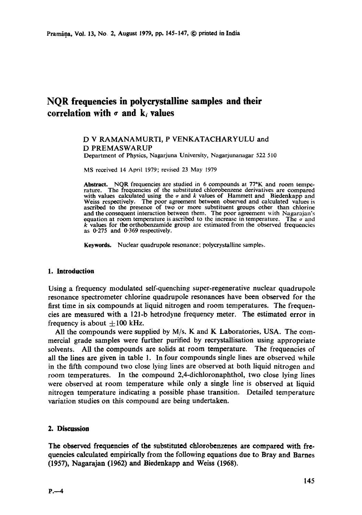# **NQR frequencies in polycrystalline samples and their**  correlation with  $\sigma$  and  $k_i$  values

## D V RAMANAMURTI, P VENKATACHARYULU and D PREMASWARUP

Department of Physics, Nagarjuna University, Nagarjunanagar 522 510

MS received 14 April 1979; revised 23 May 1979

**Abstract.** NQR frequencies are studied in 6 compounds at 77°K and room tempe-rature. The frequencies of the substituted chlorobenzene derivatives are compared with values calculated using the  $\sigma$  and k values of Hammett and Biedenkapp and Weiss respectively. The poor agreement between observed and calculated values is ascribed to the presence of two or more substituent groups other than chlorine and the consequent interaction between them. The poor agreement with Nagarajan's equation at room temperature is ascribed to the increase in temperature. The  $\sigma$  and  $k$  values for the orthobenzamide group are estimated from the observed frequencies as 0-275 and 0"369 respectively.

Keywords. Nuclear quadrupole resonance; polyerystalline samples.

### **1. Introduction**

Using a frequency modulated self-quenching super-regenerative nuclear quadrupole resonance spectrometer chlorine quadrupole resonances have been observed for the first time in six compounds at liquid nitrogen and room temperatures. The frequencies are measured with a 121-b hetrodyne frequency meter. The estimated error in frequency is about  $+100$  kHz.

All the compounds were supplied by  $M/s$ . K and K Laboratories, USA. The commercial grade samples were further purified by recrystallisation using appropriate solvents. All the compounds are solids at room temperature. The frequencies of all the lines are given in table 1. In four compounds single lines are observed while in the fifth compound two close lying lines are observed at both liquid nitrogen and room temperatures. In the compound 2,4-dichloronaphthol, two close lying lines were observed at room temperature while only a single line is observed at liquid nitrogen temperature indicating a possible phase transition. Detailed temperature variation studies on this compound are being undertaken.

#### **2. Discussion**

The observed frequencies of the substituted chlorobenzenes are compared with frequencies calculated empirically from the following equations due to Bray and Barnes (1957), Nagarajan (1962) and Biedenkapp and Weiss (1968).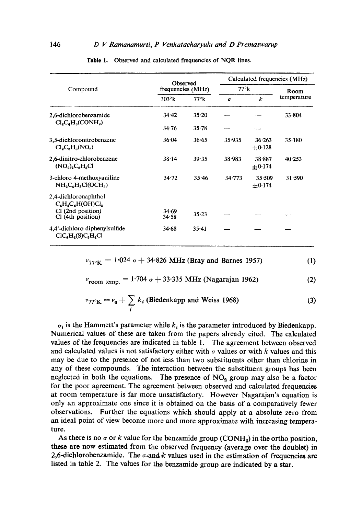|                                                                                        | Observed<br>frequencies (MHz) |              | Calculated frequencies (MHz) |                       |             |  |
|----------------------------------------------------------------------------------------|-------------------------------|--------------|------------------------------|-----------------------|-------------|--|
| Compound                                                                               |                               |              | $77^\circ k$                 |                       | Room        |  |
|                                                                                        | $303^\circ k$                 | $77^\circ k$ | $\sigma$                     | k                     | temperature |  |
| 2,6-dichlorobenzamide<br>$ClaCla(CONHa)$                                               | 34.42                         | $35 - 20$    |                              |                       | 33.804      |  |
|                                                                                        | 34.76                         | $35 - 78$    |                              |                       |             |  |
| 3,5-dichloronitrobenzene<br>$Cl_2C_6H_3(NO_2)$                                         | 36.04                         | 36.65        | 35.935                       | 36.263<br>$+0.128$    | 35.180      |  |
| 2,6-dinitro-chlorobenzene<br>$(NO2)2C6H3Cl$                                            | 38.14                         | 39.35        | 38.983                       | 38.887<br>$+0.174$    | 40.253      |  |
| 3-chloro 4-methoxyaniline<br>$NH2CH3Cl(OCH3)$                                          | 34.72                         | 35.46        | 34.773                       | 35.509<br>$\pm$ 0.174 | 31.590      |  |
| 2,4-dichloronaphthol<br>$C_6H_4C_4H(OH)Cl_2$<br>CI (2nd position)<br>Cl (4th position) | 34.69<br>34.58                | $35 - 23$    |                              |                       |             |  |
| 4.4'-dichloro diphenylsulfide<br>$ClC_{6}H_{4}(S)C_{6}H_{4}Cl$                         | 34.68                         | $35 - 41$    |                              |                       |             |  |

|  | Table 1. Observed and calculated frequencies of NQR lines. |  |  |  |  |
|--|------------------------------------------------------------|--|--|--|--|
|--|------------------------------------------------------------|--|--|--|--|

$$
\nu_{77\degree K} = 1.024 \text{ }\sigma + 34.826 \text{ MHz (Bray and Barnes 1957)} \tag{1}
$$

$$
v_{\text{room temp.}} = 1.704 \sigma + 33.335 \text{ MHz (Nagarajan 1962)}
$$
 (2)

$$
\nu_{77^{\circ}\mathbf{K}} = \nu_0 + \sum_i k_i \text{ (Biedenkapp and Weiss 1968)} \tag{3}
$$

 $\sigma_i$  is the Hammett's parameter while  $k_i$  is the parameter introduced by Biedenkapp. Numerical values of these are taken from the papers already cited. The calculated values of the frequencies are indicated in table 1. The agreement between observed and calculated values is not satisfactory either with  $\sigma$  values or with k values and this may be due to the presence of not less than two substituents other than chlorine in any of these compounds. The interaction between the substituent groups has been neglected in both the equations. The presence of  $NO<sub>2</sub>$  group may also be a factor for the poor agreement. The agreement between observed and calculated frequencies at room temperature is far more unsatisfactory. However Nagarajan's equation is only an approximate one since it is obtained on the basis of a comparatively fewer observations. Further the equations which should apply at a absolute zero from an ideal point of view become more and more approximate with increasing temperature.

As there is no  $\sigma$  or k value for the benzamide group (CONH<sub>2</sub>) in the ortho position, these are now estimated from the observed frequency (average over the doublet) in 2,6-dichlorobenzamide. The  $\sigma$ -and k values used in the estimation of frequencies are listed in table 2. The values for the benzamide group are indicated by a star.